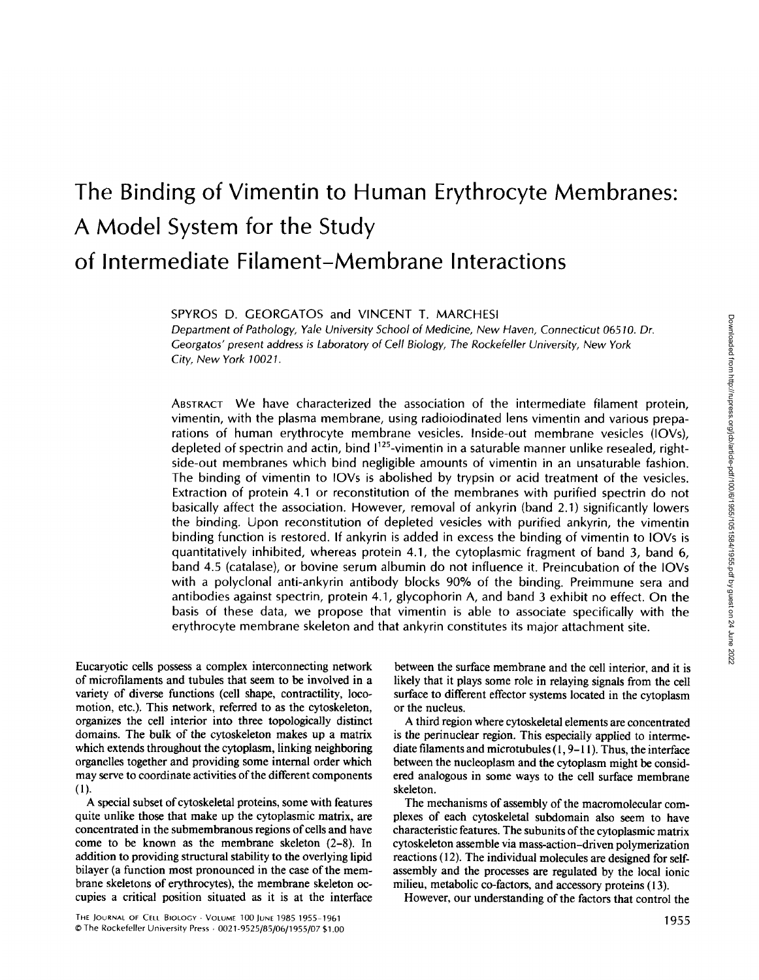# **The Binding of Vimentin to Human Erythrocyte Membranes: A Model System for the Study of Intermediate Filament-Membrane Interactions**

SPYROS D. GEORGATOS and VINCENT T. MARCHESI

*Department of Pathology, Yale University School of Medicine, New Haven, Connecticut* 06510. *Dr. Georgatos' present address is Laboratory* of *Cell Biology, The Rockefeller University, New York City, New York 10021.* 

ABSTRACT We have characterized the association of the intermediate filament protein, vimentin, with the plasma membrane, using radioiodinated lens vimentin and various preparations of human erythrocyte membrane vesicles. Inside-out membrane vesicles (IOVs), depleted of spectrin and actin, bind  $1^{125}$ -vimentin in a saturable manner unlike resealed, rightside-out membranes which bind negligible amounts of vimentin in an unsaturable fashion. The binding of vimentin to IOVs is abolished by trypsin or acid treatment of the vesicles. Extraction of protein 4.1 or reconstitution of the membranes with purified spectrin do not basically affect the association. However, removal of ankyrin (band 2.1) significantly lowers the binding. Upon reconstitution of depleted vesicles with purified ankyrin, the vimentin binding function is restored. If ankyrin is added in excess the binding of vimentin to IOVs is quantitatively inhibited, whereas protein 4.1, the cytoplasmic fragment of band 3, band 6, band 4.5 (catalase), or bovine serum albumin do not influence it. Preincubation of the IOVs with a polyclonal anti-ankyrin antibody blocks 90% of the binding. Preimmune sera and antibodies against spectrin, protein 4.1, glycophorin A, and band 3 exhibit no effect. On the basis of these data, we propose that vimentin is able to associate specifically with the erythrocyte membrane skeleton and that ankyrin constitutes its major attachment site.

Eucaryofic cells possess a complex interconnecting network of microfilaments and tubules that seem to be involved in a variety of diverse functions (cell shape, contractility, locomotion, etc.). This network, referred to as the cytoskeleton, organizes the cell interior into three topologically distinct domains. The bulk of the cytoskeleton makes up a matrix which extends throughout the cytoplasm, linking neighboring organelles together and providing some internal order which may serve to coordinate activities of the different components (1).

A special subset of cytoskeletal proteins, some with features quite unlike those that make up the cytoplasmic matrix, are concentrated in the submembranous regions of cells and have come to be known as the membrane skeleton (2-8). In addition to providing structural stability to the overlying lipid bilayer (a function most pronounced in the case of the membrane skeletons of erythrocytes), the membrane skeleton occupies a critical position situated as it is at the interface

between the surface membrane and the cell interior, and it is likely that it plays some role in relaying signals from the cell surface to different effector systems located in the cytoplasm or the nucleus.

A third region where cytoskeletal elements are concentrated is the perinuclear region. This especially applied to intermediate filaments and microtubules  $(1, 9-11)$ . Thus, the interface between the nucleoplasm and the cytoplasm might be considered analogous in some ways to the cell surface membrane skeleton.

The mechanisms of assembly of the macromolecular complexes of each cytoskeletal subdomain also seem to have characteristic features. The subunits of the cytoplasmic matrix cytoskeleton assemble via mass-action-driven polymerization reactions (12). The individual molecules are designed for selfassembly and the processes are regulated by the local ionic milieu, metabolic co-factors, and accessory proteins (13).

However, our understanding of the factors that control the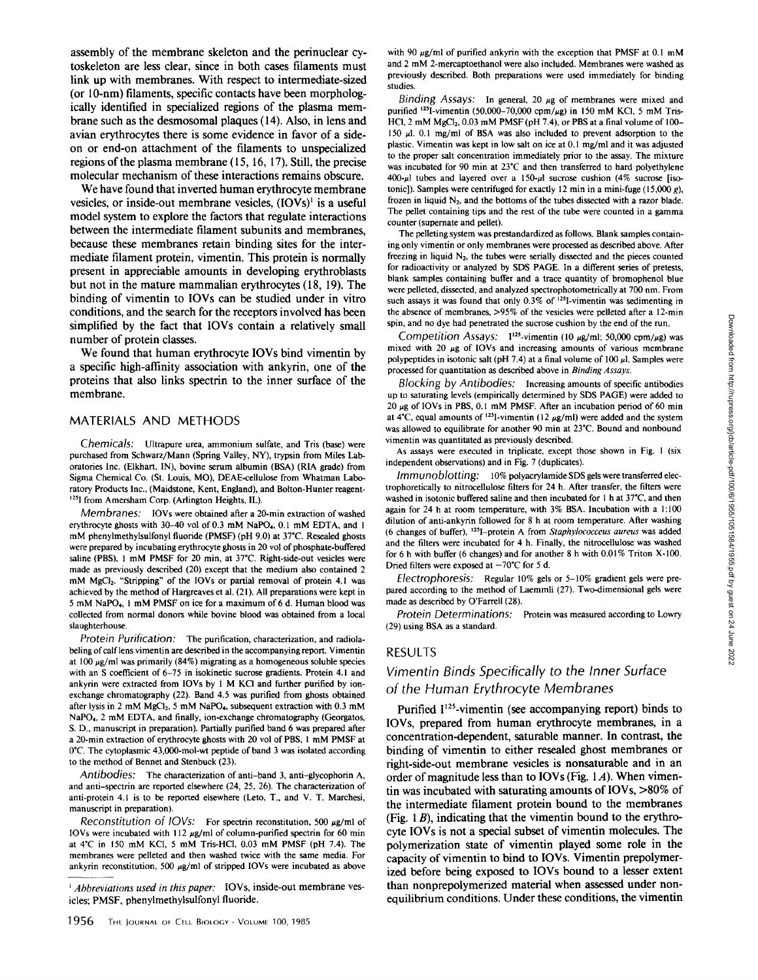**assembly of the membrane skeleton and the perinuclear cytoskeleton are less clear, since in both cases filaments must link up with membranes. With respect to intermediate-sized (or 10-nm) filaments, specific contacts have been morphologically identified in specialized regions of the plasma membrane such as the desmosomal plaques (14). Also, in lens and avian erythrocytes there is some evidence in favor of a sideon or end-on attachment of the filaments to unspecialized regions of the plasma membrane (l 5, 16, 17). Still, the precise molecular mechanism of these interactions remains obscure.** 

**We have found that inverted human erythrocyte membrane**  vesicles, or inside-out membrane vesicles,  $(IOVs)^{1}$  is a useful **model system to explore the factors that regulate interactions between the intermediate filament subunits and membranes, because these membranes retain binding sites for the intermediate filament protein, vimentin. This protein is normally present in appreciable amounts in developing erythroblasts but not in the mature mammalian erythrocytes (18, 19). The binding of vimentin to IOVs can be studied under in vitro conditions, and the search for the receptors involved has been simplified by the fact that IOVs contain a relatively small number of protein classes.** 

**We found that human erythrocyte IOVs bind vimentin by a specific high-affinity association with ankyrin, one of the proteins that also links spectrin to the inner surface of the membrane.** 

#### MATERIALS AND METHODS

*Chemicals:* Ultrapure urea, ammonium sulfate, and Tris (base) were purchased from Schwarz/Mann (Spring Valley, NY), trypsin from Miles Laboratories Inc. (Elkhart, IN), bovine serum albumin (BSA) (R1A grade) from Sigma Chemical Co. (St. Louis, MO), DEAE-cellulose from Whatman Laboratory Products Inc., (Maidstone, Kent, England), and Bolton-Hunter reagent- <sup>125</sup>I from Amersham Corp. (Arlington Heights, IL).

*Membranes:* IOVs were obtained after a 20-min extraction of washed erythrocyte ghosts with 30-40 vol of 0.3 mM NaPO4, 0.1 mM EDTA, and l mM phenylmethylsulfonyl fluoride (PMSF) (pH 9.0) at 37"C. Resealed ghosts were prepared by incubating erythrocyte ghosts in 20 vol of phosphate-buffered saline (PBS), 1 mM PMSF for 20 min, at 37°C. Right-side-out vesicles were made as previously described (20) except that the medium also contained 2 mM MgCl<sub>2</sub>. "Stripping" of the IOVs or partial removal of protein 4.1 was achieved by the method of Hargreaves et al. (21). All preparations were kept in 5 mM NaPO4, l mM PMSF on ice for a maximum of 6 d. Human blood was collected from normal donors while bovine blood was obtained from a local slaughterhouse.

*Protein Purification:* The purification, characterization, and radiolabeling of calf lens vimentin are described in the accompanying report. Vimentin at 100  $\mu$ g/ml was primarily (84%) migrating as a homogeneous soluble species with an S coefficient of 6-75 in isokinetic sucrose gradients. Protein 4.1 and ankyrin were extracted from IOVs by l M KCI and further purified by ionexchange chromatography (22). Band 4.5 was purified from ghosts obtained after lysis in 2 mM MgCl<sub>2</sub>, 5 mM NaPO<sub>4</sub>, subsequent extraction with  $0.3$  mM NaPO4, 2 mM EDTA, and finally, ion-exchange chromatography (Georgatos, S. D., manuscript in preparation). Partially purified band 6 was prepared after a 20-min extraction of erythrocyte ghosts with 20 vol of PBS, l mM PMSF at 0\*C. The cytoplasmic 43,000-mol-wt peptide of band 3 was isolated according to the method of Bennet and Stenbuck (23).

*Antibodies:* The characterization of anti-band 3, anti-glycophorin A, and anti-spectrin are reported elsewhere (24, 25, 26). The characterization of anti-protein 4.1 is to be reported elsewhere (Leto, T., and V. T. Marchesi, manuscript in preparation).

*Reconstitution of IOVs:* For spectrin reconstitution, 500  $\mu$ g/ml of IOVs were incubated with 112  $\mu$ g/ml of column-purified spectrin for 60 min at 4°C in 150 mM KCI, 5 mM Tris-HC1, 0.03 mM PMSF (pH 7.4). The membranes were pelleted and then washed twice with the same media. For ankyrin reconstitution, 500  $\mu$ g/ml of stripped IOVs were incubated as above

*Abbreviations used in this paper:* IOVs, inside-out membrane vesicles; PMSF, phenylmethylsulfonyl fluoride.

with 90  $\mu$ g/ml of purified ankyrin with the exception that PMSF at 0.1 mM and 2 mM 2-mercaptoethanol were also included. Membranes were washed as previously described. Both preparations were used immediately for binding studies.

*Binding Assays:* In general, 20  $\mu$ g of membranes were mixed and purified <sup>125</sup>I-vimentin (50,000-70,000 cpm/ $\mu$ g) in 150 mM KCl, 5 mM Tris-HCl,  $2 \text{ mM } MgCl<sub>2</sub>$ ,  $0.03 \text{ mM } PMSF$  (pH 7.4), or PBS at a final volume of 100-150 #1. 0.1 mg/ml of BSA was also included to prevent adsorption to the plastic. Vimentin was kept in low salt on ice at 0. l mg/ml and it was adjusted to the proper salt concentration immediately prior to the assay. The mixture was incubated for 90 min at  $23^{\circ}$ C and then transferred to hard polyethylene  $400-\mu$ 1 tubes and layered over a 150- $\mu$ 1 sucrose cushion (4% sucrose [isotonic]). Samples were centrifuged for exactly 12 min in a mini-fuge  $(15,000 g)$ , frozen in liquid  $N_2$ , and the bottoms of the tubes dissected with a razor blade. The pellet containing tips and the rest of the tube were counted in a gamma counter (supernate and pellet).

The pelleting system was prestandardized as follows. Blank samples containing only vimentin or only membranes were processed as described above. After freezing in liquid  $N_2$ , the tubes were serially dissected and the pieces counted for radioactivity or analyzed by SDS PAGE. In a different series of pretests, blank samples containing buffer and a trace quantity of bromophenol blue were pelleted, dissected, and analyzed spectrophotometrically at 700 nm. From such assays it was found that only 0.3% of <sup>125</sup>I-vimentin was sedimenting in the absence of membranes, >95% of the vesicles were pelleted after a 12-min spin, and no dye had penetrated the sucrose cushion by the end of the run.

*Competition Assays:*  $1^{125}$ -vimentin (10  $\mu$ g/ml; 50,000 cpm/ $\mu$ g) was mixed with 20  $\mu$ g of IOVs and increasing amounts of various membrane polypeptides in isotonic salt (pH 7.4) at a final volume of 100  $\mu$ l. Samples were processed for quantitation as described above in *Binding Assays.* 

*Blocking by Antibodies:* Increasing amounts of specific antibodies up to saturating levels (empirically determined by SDS PAGE) were added to 20  $\mu$ g of IOVs in PBS, 0.1 mM PMSF. After an incubation period of 60 min at 4°C, equal amounts of <sup>125</sup>I-vimentin (12  $\mu$ g/ml) were added and the system was allowed to equilibrate for another 90 min at 23"C. Bound and nonbound vimentin was quantitated as previously described.

As assays were executed in triplicate, except those shown in Fig. l (six independent observations) and in Fig. 7 (duplicates).

*Immunoblotting:* 10% polyacrylamide SDS gels were transferred electrophoretically to nitrocellulose filters for 24 h. After transfer, the filters were washed in isotonic buffered saline and then incubated for l h at 37"C, and then again for 24 h at room temperature, with 3% BSA. Incubation with a l:100 dilution of anti-ankyrin followed for 8 h at room temperature. After washing (6 changes of buffer), 1251-protein A from *Staphylococceus aureus* was added and the filters were incubated for 4 h. Finally, the nitrocellulose was washed for 6 h with buffer (6 changes) and for another 8 h with 0.01% Triton X-100. Dried filters were exposed at  $-70^{\circ}$ C for 5 d.

*Electrophoresis:* Regular 10% gels or 5-10% gradient gels were prepared according to the method of Laemmli (27). Two-dimensional gels were made as described by O'Farrell (28).

*Protein Determinations:* Protein was measured according to Lowry (29) using BSA as a standard.

#### **RESULTS**

# *Vimentin Binds Specifically to the Inner Surface of the Human Erythrocyte Membranes*

Purified I<sup>125</sup>-vimentin (see accompanying report) binds to **IOVs, prepared from human erythrocyte membranes, in a concentration-dependent, saturable manner. In contrast, the binding of vimentin to either resealed ghost membranes or right-side-out membrane vesicles is nonsaturable and in an order of magnitude less than to IOVs (Fig. 1A). When vimentin was incubated with saturating amounts of IOVs, >80% of the intermediate filament protein bound to the membranes (Fig. l B), indicating that the vimentin bound to the erythrocyte IOVs is not a special subset of vimentin molecules. The polymerization state of vimentin played some role in the capacity of vimentin to bind to IOVs. Vimentin prepolymerized before being exposed to IOVs bound to a lesser extent than nonprepolymerized material when assessed under nonequilibrium conditions. Under these conditions, the vimentin**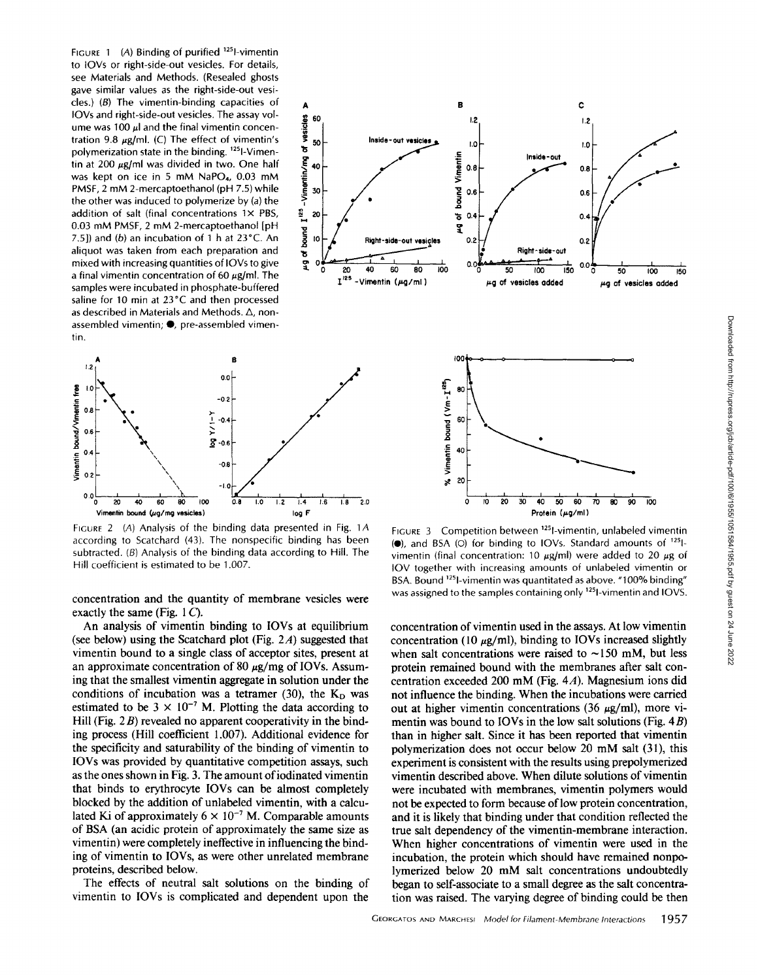FIGURE 1 (A) Binding of purified  $^{125}$ l-vimentin to IOVs or right-side-out vesicles. For details, see Materials and Methods. (Resealed ghosts gave similar values as the right-side-out vesicles.) (B) The vimentin-binding capacities of  $A$ IOVs and right-side-out vesicles. The assay vol-<br>ume was 100  $\mu$  and the final vimentin concen-<br>tration 9.8  $\mu$ g/ml. (C) The effect of vimentin's ume was 100  $\mu$ l and the final vimentin concentration 9.8  $\mu$ g/ml. (C) The effect of vimentin's  $\frac{8}{5}$  so<br>polymerization state in the binding. <sup>125</sup>I-Vimenpolymerization state in the binding. <sup>125</sup>l-Vimentin at 200  $\mu$ g/ml was divided in two. One half<br>tin at 200  $\mu$ g/ml was divided in two. One half<br>was kept on ice in 5 mM NaPO<sub>4</sub>, 0.03 mM<br>PMSF, 2 mM 2-mercaptoethanol (pH 7.5) while<br>the other was induced to polymerize by was kept on ice in 5 mM NaPO<sub>4</sub>, 0.03 mM PMSF, 2 mM 2-mercaptoethanol (pH 7.5) while  $\frac{2}{5}$  30 the other was induced to polymerize by  $(a)$  the addition of salt (final concentrations  $1 \times PBS$ ,  $\frac{8}{9}$  zo 0.03 mM PMSF, 2 mM 2-mercaptoethanol [pH 0.03 mM PMSF, 2 mM 2-mercaptoethanol [pH  $\frac{1}{2}$  7.5]) and (b) an incubation of 1 h at 23 °C. An  $\frac{1}{2}$  is aliquot was taken from each preparation and<br>mixed with increasing quantities of IOVs to give mixed with increasing quantities of IOVs to give  $\frac{1}{2}$  of a final vimentin concentration of 60  $\mu$ g/ml. The samples were incubated in phosphate-buffered saline for 10 min at 23°C and then processed as described in Materials and Methods.  $\Delta$ , nonassembled vimentin;  $\bullet$ , pre-assembled vimentin.



FIGURE 2 (A) Analysis of the binding data presented in Fig. 1A according to Scatchard (43). The nonspecific binding has been subtracted. (B) Analysis of the binding data according to Hill. The Hill coefficient is estimated to be 1.007.

concentration and the quantity of membrane vesicles were exactly the same (Fig.  $1 C$ ).

An analysis of vimentin binding to IOVs at equilibrium (see below) using the Scatchard plot (Fig.  $2A$ ) suggested that vimentin bound to a single class of acceptor sites, present at an approximate concentration of 80  $\mu$ g/mg of IOVs. Assuming that the smallest vimentin aggregate in solution under the conditions of incubation was a tetramer (30), the  $K_D$  was estimated to be  $3 \times 10^{-7}$  M. Plotting the data according to Hill (Fig.  $2B$ ) revealed no apparent cooperativity in the binding process (Hill coefficient 1.007). Additional evidence for the specificity and saturability of the binding of vimentin to IOVs was provided by quantitative competition assays, such as the ones shown in Fig. 3. The amount of iodinated vimentin that binds to erythrocyte IOVs can be almost completely blocked by the addition of unlabeled vimentin, with a calculated Ki of approximately  $6 \times 10^{-7}$  M. Comparable amounts of BSA (an acidic protein of approximately the same size as vimentin) were completely ineffective in influencing the binding of vimentin to IOVs, as were other unrelated membrane proteins, described below.

The effects of neutral salt solutions on the binding of vimentin to IOVs is complicated and dependent upon the





FIGURE 3 Competition between 1251-vimentin, unlabeled vimentin  $\left( \bullet \right)$ , and BSA (O) for binding to IOVs. Standard amounts of  $125$ vimentin (final concentration: 10  $\mu$ g/ml) were added to 20  $\mu$ g of IOV together with increasing amounts of unlabeled vimentin or BSA. Bound <sup>125</sup>I-vimentin was quantitated as above. "100% binding" was assigned to the samples containing only <sup>125</sup>l-vimentin and IOVS.

concentration of vimentin used in the assays. At low vimentin concentration (10  $\mu$ g/ml), binding to IOVs increased slightly when salt concentrations were raised to  $\sim$ 150 mM, but less protein remained bound with the membranes after salt concentration exceeded 200 mM (Fig. 4A). Magnesium ions did not influence the binding. When the incubations were carried out at higher vimentin concentrations (36  $\mu$ g/ml), more vimentin was bound to IOVs in the low salt solutions (Fig. 4B) than in higher salt. Since it has been reported that vimentin polymerization does not occur below 20 mM salt (31), this experiment is consistent with the results using prepolymerized vimentin described above. When dilute solutions of vimentin were incubated with membranes, vimentin polymers would not be expected to form because of low protein concentration, and it is likely that binding under that condition reflected the true salt dependency of the vimentin-membrane interaction. When higher concentrations of vimentin were used in the incubation, the protein which should have remained nonpolymerized below 20 mM salt concentrations undoubtedly began to self-associate to a small degree as the salt concentration was raised. The varying degree of binding could be then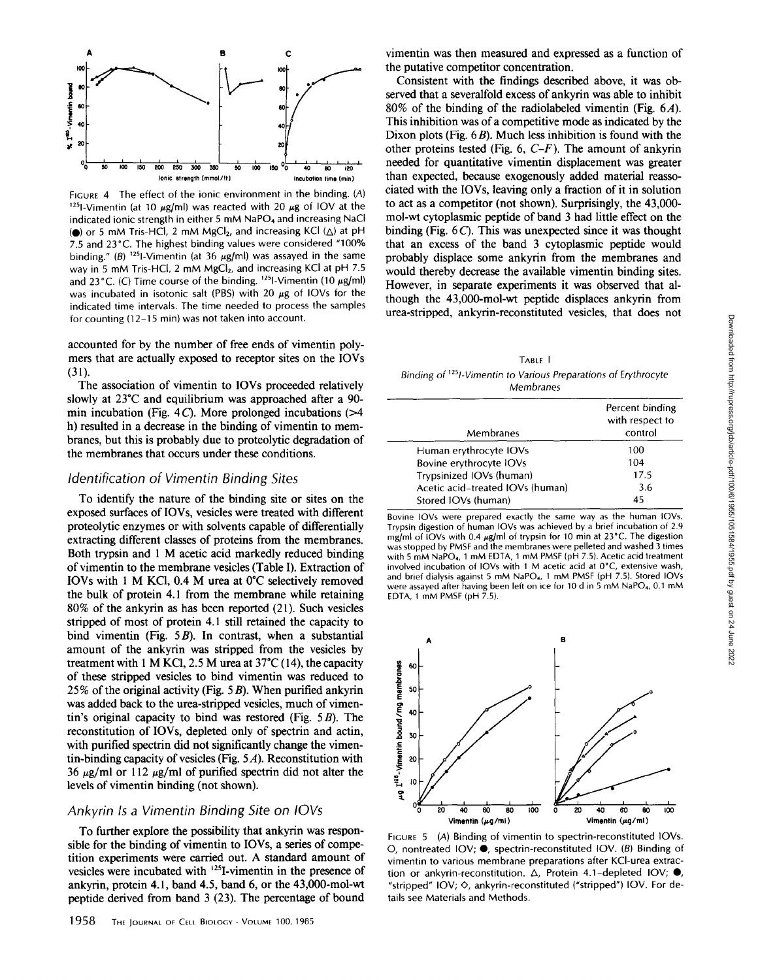

FIGURE 4 The effect of the ionic environment in the binding. (A) <sup>125</sup>I-Vimentin (at 10  $\mu$ g/ml) was reacted with 20  $\mu$ g of IOV at the indicated ionic strength in either 5 mM NaPO4 and increasing NaCI ( $\bullet$ ) or 5 mM Tris-HCl, 2 mM MgCl<sub>2</sub>, and increasing KCl ( $\triangle$ ) at pH 7.5 and 23°C. The highest binding values were considered "100% binding." (B) <sup>125</sup>l-Vimentin (at 36  $\mu$ g/ml) was assayed in the same way in 5 mM Tris-HCl, 2 mM MgCl<sub>2</sub>, and increasing KCl at pH 7.5 and 23°C. (C) Time course of the binding.  $^{125}$ l-Vimentin (10  $\mu$ g/ml) was incubated in isotonic salt (PBS) with 20  $\mu$ g of IOVs for the indicated time intervals. The time needed to process the samples for counting (12-15 min) was not taken into account.

accounted for by the number of free ends of vimentin polymers that are actually exposed to receptor sites on the IOVs (31).

The association of vimentin to IOVs proceeded relatively slowly at 23°C and equilibrium was approached after a 90 min incubation (Fig. 4 C). More prolonged incubations  $(>= 4$ h) resulted in a decrease in the binding of vimentin to membranes, but this is probably due to proteolytic degradation of the membranes that occurs under these conditions.

### *Identification of Vimentin Binding Sites*

To identify the nature of the binding site or sites on the exposed surfaces of IOVs, vesicles were treated with different proteolytic enzymes or with solvents capable of differentially extracting different classes of proteins from the membranes. Both trypsin and 1 M acetic acid markedly reduced binding of vimentin to the membrane vesicles (Table I). Extraction of IOVs with 1 M KCI, 0.4 M urea at 0°C selectively removed the bulk of protein 4.1 from the membrane while retaining 80% of the ankyrin as has been reported (21). Such vesicles stripped of most of protein 4.1 still retained the capacity to bind vimentin (Fig.  $5B$ ). In contrast, when a substantial amount of the ankyrin was stripped from the vesicles by treatment with 1 M KCl, 2.5 M urea at  $37^{\circ}$ C (14), the capacity of these stripped vesicles to bind vimentin was reduced to 25% of the original activity (Fig.  $5B$ ). When purified ankyrin was added back to the urea-stripped vesicles, much of vimentin's original capacity to bind was restored (Fig.  $5B$ ). The reconstitution of IOVs, depleted only of spectrin and actin, with purified spectrin did not significantly change the vimentin-binding capacity of vesicles (Fig. 5 A). Reconstitution with 36  $\mu$ g/ml or 112  $\mu$ g/ml of purified spectrin did not alter the levels of vimentin binding (not shown).

# *Ankyrin Is a Vimentin Binding Site on IOVs*

To further explore the possibility that ankyrin was responsible for the binding of vimentin to IOVs, a series of competition experiments were carried out. A standard amount of vesicles were incubated with <sup>125</sup>I-vimentin in the presence of ankyrin, protein 4.1, band 4.5, band 6, or the 43,000-mol-wt peptide derived from band 3 (23). The percentage of bound

vimentin was then measured and expressed as a function of the putative competitor concentration.

Consistent with the findings described above, it was observed that a severalfold excess of ankyrin was able to inhibit 80% of the binding of the radiolabeled vimentin (Fig. 6A). This inhibition was of a competitive mode as indicated by the Dixon plots (Fig.  $6B$ ). Much less inhibition is found with the other proteins tested (Fig. 6, *C-F).* The amount of ankyrin needed for quantitative vimentin displacement was greater than expected, because exogenously added material reassociated with the IOVs, leaving only a fraction of it in solution to act as a competitor (not shown). Surprisingly, the 43,000 mol-wt cytoplasmic peptide of band 3 had little effect on the binding (Fig. 6 C). This was unexpected since it was thought that an excess of the band 3 cytoplasmic peptide would probably displace some ankyrin from the membranes and would thereby decrease the available vimentin binding sites. However, in separate experiments it was observed that although the 43,000-mol-wt peptide displaces ankyrin from urea-stripped, ankyrin-reconstituted vesicles, that does not

TABLE I *Binding of 12sI-vimentin to Various Preparations of Erythrocyte Membranes* 

|  | Membranes                        | Percent binding<br>with respect to<br>control |
|--|----------------------------------|-----------------------------------------------|
|  | Human erythrocyte IOVs           | 100                                           |
|  | Bovine erythrocyte IOVs          | 104                                           |
|  | Trypsinized IOVs (human)         | 17.5                                          |
|  | Acetic acid-treated IOVs (human) | 3.6                                           |
|  | Stored IOVs (human)              | 45                                            |
|  |                                  |                                               |

Bovine IOVs were prepared exactly the same way as the human IOVs. Trypsin digestion of human IOVs was achieved by a brief incubation of 2.9 mg/ml of IOVs with 0.4  $\mu$ g/ml of trypsin for 10 min at 23°C. The digestion was stopped by PMSF and the membranes were pelleted and washed 3 times with 5 mM NaPO4, 1 mM EDTA, 1 mM PMSF {pH 7.5). Acetic acid treatment involved incubation of IOVs with 1 M acetic acid at 0°C, extensive wash, and brief dialysis against 5 mM NaPO<sub>4</sub>, 1 mM PMSF (pH 7.5). Stored IOVs were assayed after having been left on ice for 10 d in 5 mM NaPO4, O.t mM EDTA, 1  $m$ M PMSF (pH  $\overline{7.5}$ ).



FIGURE 5 (A) Binding of vimentin to spectrin-reconstituted IOVs. O, nontreated IOV;  $\bullet$ , spectrin-reconstituted IOV. (B) Binding of vimentin to various membrane preparations after KCl-urea extraction or ankyrin-reconstitution.  $\Delta$ , Protein 4.1-depleted IOV;  $\bullet$ , "stripped" IOV;  $\diamond$ , ankyrin-reconstituted ("stripped") IOV. For details see Materials and Methods.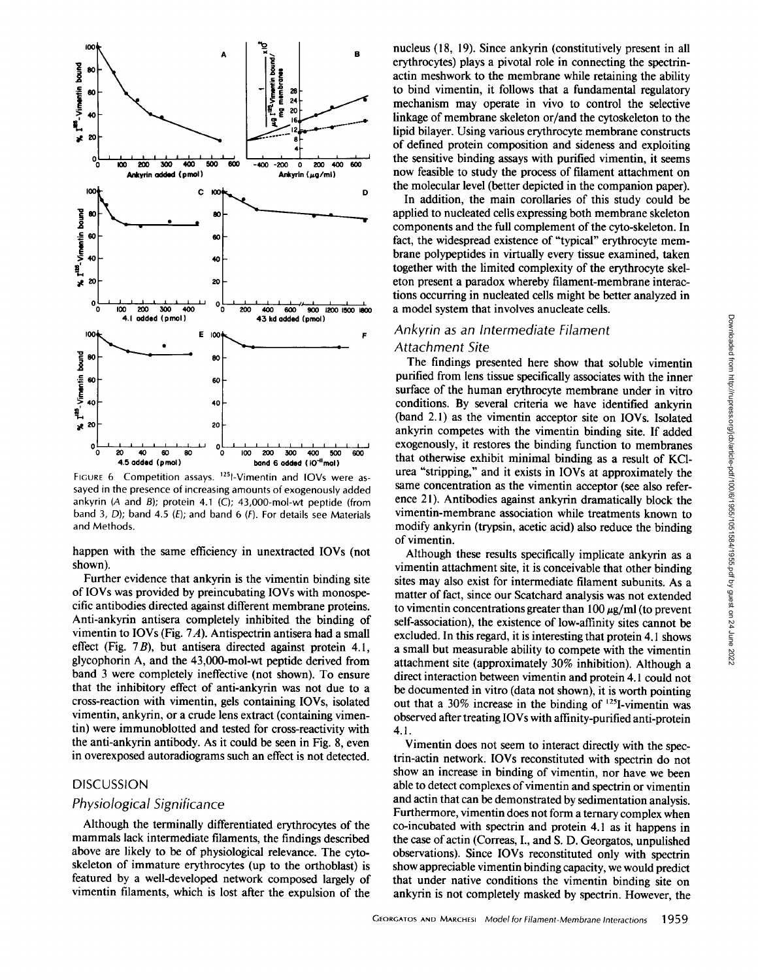

FIGURE 6 Competition assays. <sup>125</sup>I-Vimentin and IOVs were assayed in the presence of increasing amounts of exogenously added ankyrin (A and B); protein 4.1 (C); 43,000-mol-wt peptide (from band 3, D); band 4.5 (E); and band 6 (F). For details see Materials and Methods.

happen with the same efficiency in unextracted IOVs (not shown).

Further evidence that ankyrin is the vimentin binding site of IOVs was provided by preincubating IOVs with monospecific antibodies directed against different membrane proteins. Anti-ankyrin antisera completely inhibited the binding of vimentin to IOVs (Fig.  $7A$ ). Antispectrin antisera had a small effect (Fig. 7B), but antisera directed against protein 4.1, glycophorin A, and the 43,000-mol-wt peptide derived from band 3 were completely ineffective (not shown). To ensure that the inhibitory effect of anti-ankyrin was not due to a cross-reaction with vimentin, gels containing IOVs, isolated vimentin, ankyrin, or a crude lens extract (containing vimentin) were immunoblotted and tested for cross-reactivity with the anti-ankyrin antibody. As it could be seen in Fig. 8, even in overexposed autoradiograms such an effect is not detected.

#### **DISCUSSION**

## *Physiological Significance*

Although the terminally differentiated erythrocytes of the mammals lack intermediate filaments, the findings described above are likely to be of physiological relevance. The cytoskeleton of immature erythrocytes (up to the orthoblast) is featured by a well-developed network composed largely of vimentin filaments, which is lost after the expulsion of the

nucleus (18, 19). Since ankyrin (constitutively present in all erythrocytes) plays a pivotal role in connecting the spectrinactin meshwork to the membrane while retaining the ability to bind vimentin, it follows that a fundamental regulatory mechanism may operate in vivo to control the selective linkage of membrane skeleton or/and the cytoskeleton to the lipid bilayer. Using various erythrocyte membrane constructs of defined protein composition and sideness and exploiting the sensitive binding assays with purified vimentin, it seems now feasible to study the process of filament attachment on the molecular level (better depicted in the companion paper).

In addition, the main corollaries of this study could be applied to nucleated cells expressing both membrane skeleton components and the full complement of the cyto-skeleton. In fact, the widespread existence of "typical" erythrocyte membrane polypeptides in virtually every tissue examined, taken together with the limited complexity of the erythrocyte skeleton present a paradox whereby filament-membrane interactions occurring in nucleated cells might be better analyzed in a model system that involves anucleate cells.

#### *Ankyrin as an Intermediate Filament*

# *Attachment Site*

The findings presented here show that soluble vimentin purified from lens tissue specifically associates with the inner surface of the human erythrocyte membrane under in vitro conditions. By several criteria we have identified ankyrin (band 2.1) as the vimentin acceptor site on IOVs. Isolated ankyrin competes with the vimentin binding site. If added exogenously, it restores the binding function to membranes that otherwise exhibit minimal binding as a result of KC1 urea "stripping," and it exists in IOVs at approximately the same concentration as the vimentin acceptor (see also reference 21). Antibodies against ankyrin dramatically block the vimentin-membrane association while treatments known to modify ankyrin (trypsin, acetic acid) also reduce the binding of vimentin.

Although these results specifically implicate ankyrin as a vimentin attachment site, it is conceivable that other binding sites may also exist for intermediate filament subunits. As a matter of fact, since our Scatchard analysis was not extended to vimentin concentrations greater than  $100 \mu g/ml$  (to prevent self-association), the existence of low-affinity sites cannot be excluded. In this regard, it is interesting that protein 4.1 shows a small but measurable ability to compete with the vimentin attachment site (approximately 30% inhibition). Although a direct interaction between vimentin and protein 4. l could not be documented in vitro (data not shown), it is worth pointing out that a 30% increase in the binding of  $^{125}$ I-vimentin was observed after treating IOVs with affinity-purified anti-protein 4.1.

Vimentin does not seem to interact directly with the spectrin-actin network. IOVs reconstituted with spectrin do not show an increase in binding of vimentin, nor have we been able to detect complexes of vimentin and spectrin or vimentin and actin that can be demonstrated by sedimentation analysis. Furthermore, vimentin does not form a ternary complex when co-incubated with spectrin and protein 4.1 as it happens in the case of actin (Correas, I., and S. D. Georgatos, unpulished observations). Since IOVs reconstituted only with spectrin show appreciable vimentin binding capacity, we would predict that under native conditions the vimentin binding site on ankyrin is not completely masked by spectrin. However, the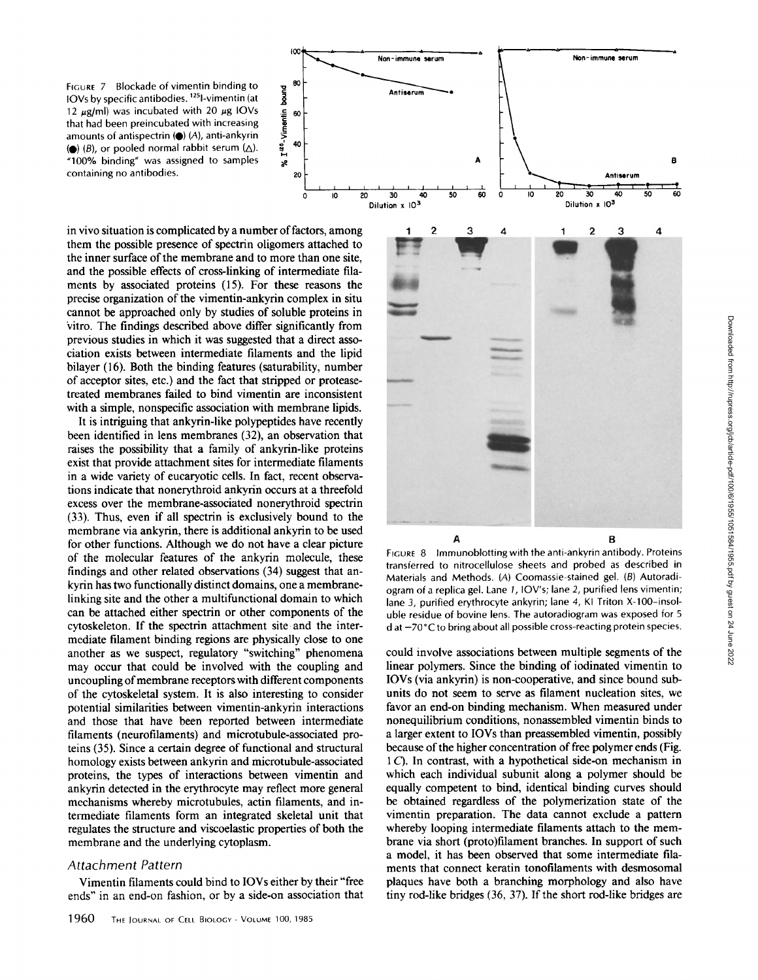FIGURE 7 Blockade of vimentin binding to  $\frac{125}{9}$  equals 10 binding to  $\frac{125}{9}$  equals 125 equation 15 binding to  $\frac{125}{9}$ IOVs by specific antibodies. 12Sl-vimentin (at 12  $\mu$ g/ml) was incubated with 20  $\mu$ g IOVs<br>that had been preincubated with increasing<br>amounts of antispectrin ( $\bullet$ ) (A), anti-ankyrin<br>( $\bullet$ ) (B), or pooled normal rabbit serum ( $\triangle$ ). that had been preincubated with increasing amounts of antispectrin  $(\bullet)$  (A), anti-ankyrin (e) (B), or pooled normal rabbit serum  $(\Delta)$ .  $\qquad \frac{1}{2}$   $\qquad$  40 "100% binding" was assigned to samples containing no antibodies. The containing no antibodies.



It is intriguing that ankyrin-like polypeptides have recently been identified in lens membranes (32), an observation that raises the possibility that a family of ankyrin-like proteins exist that provide attachment sites for intermediate filaments in a wide variety of eucaryotic cells. In fact, recent observations indicate that nonerythroid ankyrin occurs at a threefold excess over the membrane-associated nonerythroid spectrin (33). Thus, even if all spectrin is exclusively bound to the membrane via ankyrin, there is additional ankyrin to be used for other functions. Although we do not have a clear picture of the molecular features of the ankyrin molecule, these findings and other related observations (34) suggest that ankyrin has two functionally distinct domains, one a membranelinking site and the other a multifunctional domain to which can be attached either spectrin or other components of the cytoskeleton. If the spectrin attachment site and the intermediate filament binding regions are physically close to one another as we suspect, regulatory "switching" phenomena may occur that could be involved with the coupling and uncoupling of membrane receptors with different components of the cytoskeletal system. It is also interesting to consider potential similarities between vimentin-ankyrin interactions and those that have been reported between intermediate filaments (neurofilaments) and microtubule-associated proteins (35). Since a certain degree of functional and structural homology exists between ankyrin and microtubule-associated proteins, the types of interactions between vimentin and ankyrin detected in the erythrocyte may reflect more general mechanisms whereby microtubules, actin filaments, and intermediate filaments form an integrated skeletal unit that regulates the structure and viscoelastic properties of both the membrane and the underlying cytoplasm.

### *Attachment Pattern*

Vimentin filaments could bind to IOVs either by their "free ends" in an end-on fashion, or by a side-on association that



1

 $\overline{\mathbf{c}}$ 

3

4

 $\mathfrak{p}$  $\mathbf{1}$ 3 4

A B FIGURE 8 Immunoblottingwith the anti-ankyrin antibody. Proteins transferred to nitrocellulose sheets and probed as described in Materials and Methods. {A) Coomassie-stained gel. (B) Autoradiogram of a replica gel. Lane I, IOV's; lane 2, purified lens vimentin; lane 3, purified erythrocyte ankyrin; lane 4, KI Triton X-100-insoluble residue of bovine lens. The autoradiogram was exposed for 5 d at -70°C to bring about all possible cross-reacting protein species.

could involve associations between multiple segments of the linear polymers. Since the binding of iodinated vimentin to IOVs (via ankyrin) is non-cooperative, and since bound subunits do not seem to serve as filament nucleation sites, we favor an end-on binding mechanism. When measured under nonequilibrium conditions, nonassembled vimentin binds to a larger extent to IOVs than preassembled vimentin, possibly because of the higher concentration of free polymer ends (Fig. 1 C). In contrast, with a hypothetical side-on mechanism in which each individual subunit along a polymer should be equally competent to bind, identical binding curves should be obtained regardless of the polymerization state of the vimentin preparation. The data cannot exclude a pattern whereby looping intermediate filaments attach to the membrane via short (proto)filament branches. In support of such a model, it has been observed that some intermediate filaments that connect keratin tonofilaments with desmosomal plaques have both a branching morphology and also have tiny rod-like bridges (36, 37). If the short rod-like bridges are